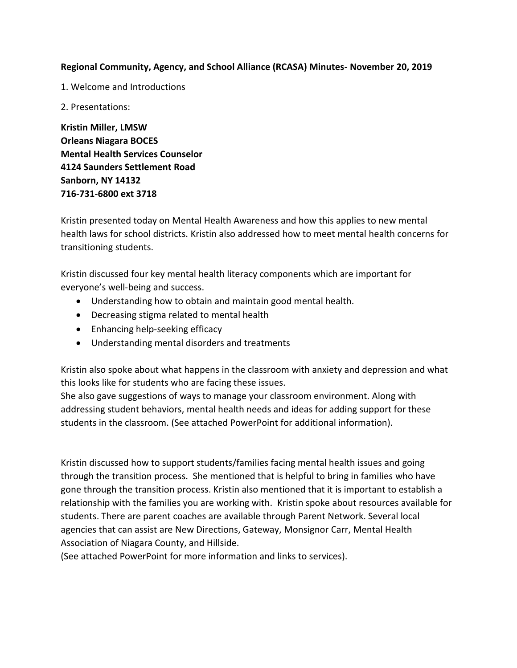## **Regional Community, Agency, and School Alliance (RCASA) Minutes- November 20, 2019**

1. Welcome and Introductions

2. Presentations:

**Kristin Miller, LMSW Orleans Niagara BOCES Mental Health Services Counselor 4124 Saunders Settlement Road Sanborn, NY 14132 716-731-6800 ext 3718**

Kristin presented today on Mental Health Awareness and how this applies to new mental health laws for school districts. Kristin also addressed how to meet mental health concerns for transitioning students.

Kristin discussed four key mental health literacy components which are important for everyone's well-being and success.

- Understanding how to obtain and maintain good mental health.
- Decreasing stigma related to mental health
- Enhancing help-seeking efficacy
- Understanding mental disorders and treatments

Kristin also spoke about what happens in the classroom with anxiety and depression and what this looks like for students who are facing these issues.

She also gave suggestions of ways to manage your classroom environment. Along with addressing student behaviors, mental health needs and ideas for adding support for these students in the classroom. (See attached PowerPoint for additional information).

Kristin discussed how to support students/families facing mental health issues and going through the transition process. She mentioned that is helpful to bring in families who have gone through the transition process. Kristin also mentioned that it is important to establish a relationship with the families you are working with. Kristin spoke about resources available for students. There are parent coaches are available through Parent Network. Several local agencies that can assist are New Directions, Gateway, Monsignor Carr, Mental Health Association of Niagara County, and Hillside.

(See attached PowerPoint for more information and links to services).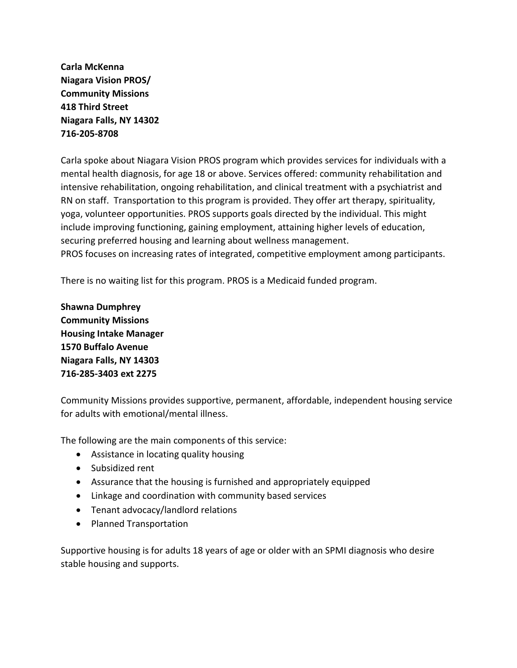**Carla McKenna Niagara Vision PROS/ Community Missions 418 Third Street Niagara Falls, NY 14302 716-205-8708**

Carla spoke about Niagara Vision PROS program which provides services for individuals with a mental health diagnosis, for age 18 or above. Services offered: community rehabilitation and intensive rehabilitation, ongoing rehabilitation, and clinical treatment with a psychiatrist and RN on staff. Transportation to this program is provided. They offer art therapy, spirituality, yoga, volunteer opportunities. PROS supports goals directed by the individual. This might include improving functioning, gaining employment, attaining higher levels of education, securing preferred housing and learning about wellness management. PROS focuses on increasing rates of integrated, competitive employment among participants.

There is no waiting list for this program. PROS is a Medicaid funded program.

**Shawna Dumphrey Community Missions Housing Intake Manager 1570 Buffalo Avenue Niagara Falls, NY 14303 716-285-3403 ext 2275**

Community Missions provides supportive, permanent, affordable, independent housing service for adults with emotional/mental illness.

The following are the main components of this service:

- Assistance in locating quality housing
- Subsidized rent
- Assurance that the housing is furnished and appropriately equipped
- Linkage and coordination with community based services
- Tenant advocacy/landlord relations
- Planned Transportation

Supportive housing is for adults 18 years of age or older with an SPMI diagnosis who desire stable housing and supports.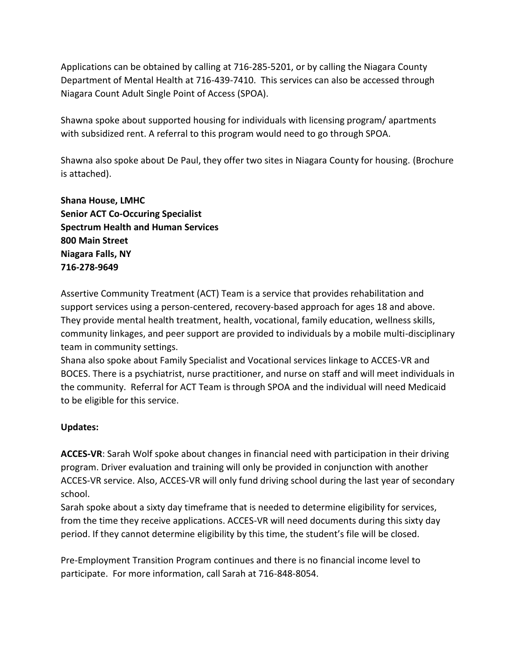Applications can be obtained by calling at 716-285-5201, or by calling the Niagara County Department of Mental Health at 716-439-7410. This services can also be accessed through Niagara Count Adult Single Point of Access (SPOA).

Shawna spoke about supported housing for individuals with licensing program/ apartments with subsidized rent. A referral to this program would need to go through SPOA.

Shawna also spoke about De Paul, they offer two sites in Niagara County for housing. (Brochure is attached).

**Shana House, LMHC Senior ACT Co-Occuring Specialist Spectrum Health and Human Services 800 Main Street Niagara Falls, NY 716-278-9649**

Assertive Community Treatment (ACT) Team is a service that provides rehabilitation and support services using a person-centered, recovery-based approach for ages 18 and above. They provide mental health treatment, health, vocational, family education, wellness skills, community linkages, and peer support are provided to individuals by a mobile multi-disciplinary team in community settings.

Shana also spoke about Family Specialist and Vocational services linkage to ACCES-VR and BOCES. There is a psychiatrist, nurse practitioner, and nurse on staff and will meet individuals in the community. Referral for ACT Team is through SPOA and the individual will need Medicaid to be eligible for this service.

## **Updates:**

**ACCES-VR**: Sarah Wolf spoke about changes in financial need with participation in their driving program. Driver evaluation and training will only be provided in conjunction with another ACCES-VR service. Also, ACCES-VR will only fund driving school during the last year of secondary school.

Sarah spoke about a sixty day timeframe that is needed to determine eligibility for services, from the time they receive applications. ACCES-VR will need documents during this sixty day period. If they cannot determine eligibility by this time, the student's file will be closed.

Pre-Employment Transition Program continues and there is no financial income level to participate. For more information, call Sarah at 716-848-8054.